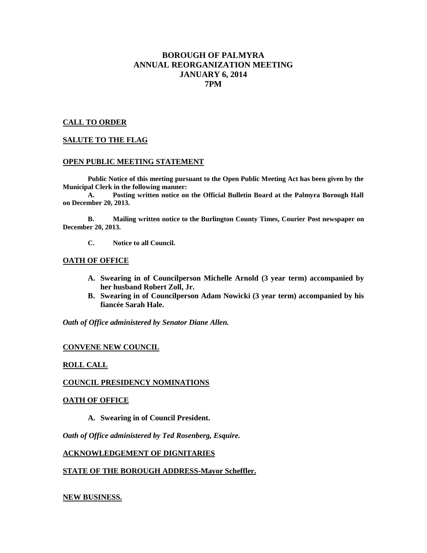# **BOROUGH OF PALMYRA ANNUAL REORGANIZATION MEETING JANUARY 6, 2014 7PM**

# **CALL TO ORDER**

# **SALUTE TO THE FLAG**

# **OPEN PUBLIC MEETING STATEMENT**

**Public Notice of this meeting pursuant to the Open Public Meeting Act has been given by the Municipal Clerk in the following manner:**

**A. Posting written notice on the Official Bulletin Board at the Palmyra Borough Hall on December 20, 2013.**

**B. Mailing written notice to the Burlington County Times, Courier Post newspaper on December 20, 2013.**

**C. Notice to all Council.**

# **OATH OF OFFICE**

- **A. Swearing in of Councilperson Michelle Arnold (3 year term) accompanied by her husband Robert Zoll, Jr.**
- **B. Swearing in of Councilperson Adam Nowicki (3 year term) accompanied by his fiancée Sarah Hale.**

*Oath of Office administered by Senator Diane Allen.*

# **CONVENE NEW COUNCIL**

# **ROLL CALL**

# **COUNCIL PRESIDENCY NOMINATIONS**

#### **OATH OF OFFICE**

**A. Swearing in of Council President.**

*Oath of Office administered by Ted Rosenberg, Esquire.*

# **ACKNOWLEDGEMENT OF DIGNITARIES**

# **STATE OF THE BOROUGH ADDRESS-Mayor Scheffler.**

# **NEW BUSINESS.**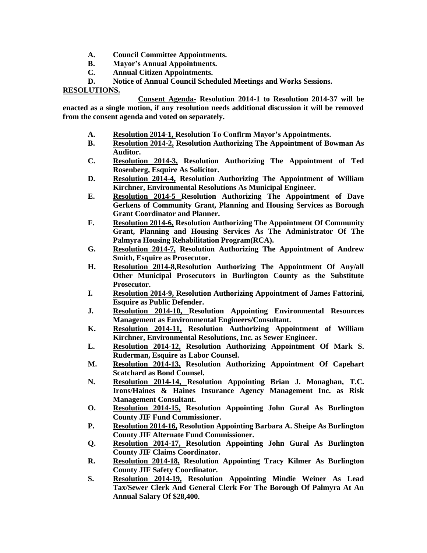- **A. Council Committee Appointments.**
- **B. Mayor's Annual Appointments.**
- **C. Annual Citizen Appointments.**
- **D. Notice of Annual Council Scheduled Meetings and Works Sessions.**

**RESOLUTIONS.**

**Consent Agenda- Resolution 2014-1 to Resolution 2014-37 will be enacted as a single motion, if any resolution needs additional discussion it will be removed from the consent agenda and voted on separately.** 

- **A. Resolution 2014-1, Resolution To Confirm Mayor's Appointments.**
- **B. Resolution 2014-2, Resolution Authorizing The Appointment of Bowman As Auditor.**
- **C. Resolution 2014-3, Resolution Authorizing The Appointment of Ted Rosenberg, Esquire As Solicitor.**
- **D. Resolution 2014-4, Resolution Authorizing The Appointment of William Kirchner, Environmental Resolutions As Municipal Engineer.**
- **E. Resolution 2014-5 Resolution Authorizing The Appointment of Dave Gerkens of Community Grant, Planning and Housing Services as Borough Grant Coordinator and Planner.**
- **F. Resolution 2014-6, Resolution Authorizing The Appointment Of Community Grant, Planning and Housing Services As The Administrator Of The Palmyra Housing Rehabilitation Program(RCA).**
- **G. Resolution 2014-7, Resolution Authorizing The Appointment of Andrew Smith, Esquire as Prosecutor.**
- **H. Resolution 2014-8,Resolution Authorizing The Appointment Of Any/all Other Municipal Prosecutors in Burlington County as the Substitute Prosecutor.**
- **I. Resolution 2014-9, Resolution Authorizing Appointment of James Fattorini, Esquire as Public Defender.**
- **J. Resolution 2014-10, Resolution Appointing Environmental Resources Management as Environmental Engineers/Consultant.**
- **K. Resolution 2014-11, Resolution Authorizing Appointment of William Kirchner, Environmental Resolutions, Inc. as Sewer Engineer.**
- **L. Resolution 2014-12, Resolution Authorizing Appointment Of Mark S. Ruderman, Esquire as Labor Counsel.**
- **M. Resolution 2014-13, Resolution Authorizing Appointment Of Capehart Scatchard as Bond Counsel.**
- **N. Resolution 2014-14, Resolution Appointing Brian J. Monaghan, T.C. Irons/Haines & Haines Insurance Agency Management Inc. as Risk Management Consultant.**
- **O. Resolution 2014-15, Resolution Appointing John Gural As Burlington County JIF Fund Commissioner.**
- **P. Resolution 2014-16, Resolution Appointing Barbara A. Sheipe As Burlington County JIF Alternate Fund Commissioner.**
- **Q. Resolution 2014-17, Resolution Appointing John Gural As Burlington County JIF Claims Coordinator.**
- **R. Resolution 2014-18, Resolution Appointing Tracy Kilmer As Burlington County JIF Safety Coordinator.**
- **S. Resolution 2014-19, Resolution Appointing Mindie Weiner As Lead Tax/Sewer Clerk And General Clerk For The Borough Of Palmyra At An Annual Salary Of \$28,400.**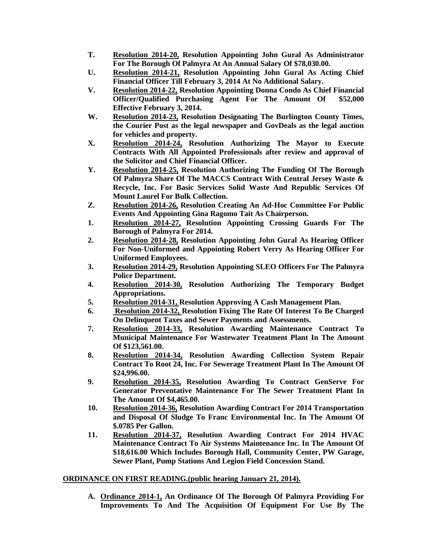- **T. Resolution 2014-20, Resolution Appointing John Gural As Administrator For The Borough Of Palmyra At An Annual Salary Of \$78,030.00.**
- **U. Resolution 2014-21, Resolution Appointing John Gural As Acting Chief Financial Officer Till February 3, 2014 At No Additional Salary.**
- **V. Resolution 2014-22, Resolution Appointing Donna Condo As Chief Financial Officer/Qualified Purchasing Agent For The Amount Of \$52,000 Effective February 3, 2014.**
- **W. Resolution 2014-23, Resolution Designating The Burlington County Times, the Courier Post as the legal newspaper and GovDeals as the legal auction for vehicles and property.**
- **X. Resolution 2014-24, Resolution Authorizing The Mayor to Execute Contracts With All Appointed Professionals after review and approval of the Solicitor and Chief Financial Officer.**
- **Y. Resolution 2014-25, Resolution Authorizing The Funding Of The Borough Of Palmyra Share Of The MACCS Contract With Central Jersey Waste & Recycle, Inc. For Basic Services Solid Waste And Republic Services Of Mount Laurel For Bulk Collection.**
- **Z. Resolution 2014-26, Resolution Creating An Ad-Hoc Committee For Public Events And Appointing Gina Ragomo Tait As Chairperson.**
- **1. Resolution 2014-27, Resolution Appointing Crossing Guards For The Borough of Palmyra For 2014.**
- **2. Resolution 2014-28, Resolution Appointing John Gural As Hearing Officer For Non-Uniformed and Appointing Robert Verry As Hearing Officer For Uniformed Employees.**
- **3. Resolution 2014-29, Resolution Appointing SLEO Officers For The Palmyra Police Department.**
- **4. Resolution 2014-30, Resolution Authorizing The Temporary Budget Appropriations.**
- **5. Resolution 2014-31, Resolution Approving A Cash Management Plan.**
- **6. Resolution 2014-32, Resolution Fixing The Rate Of Interest To Be Charged On Delinquent Taxes and Sewer Payments and Assessments.**
- **7. Resolution 2014-33, Resolution Awarding Maintenance Contract To Municipal Maintenance For Wastewater Treatment Plant In The Amount Of \$123,561.00.**
- **8. Resolution 2014-34, Resolution Awarding Collection System Repair Contract To Root 24, Inc. For Sewerage Treatment Plant In The Amount Of \$24,996.00.**
- **9. Resolution 2014-35, Resolution Awarding To Contract GenServe For Generator Preventative Maintenance For The Sewer Treatment Plant In The Amount Of \$4,465.00.**
- **10. Resolution 2014-36, Resolution Awarding Contract For 2014 Transportation and Disposal Of Sludge To Franc Environmental Inc. In The Amount Of \$.0785 Per Gallon.**
- **11. Resolution 2014-37, Resolution Awarding Contract For 2014 HVAC Maintenance Contract To Air Systems Maintenance Inc. In The Amount Of \$18,616.00 Which Includes Borough Hall, Community Center, PW Garage, Sewer Plant, Pump Stations And Legion Field Concession Stand.**

# **ORDINANCE ON FIRST READING.(public hearing January 21, 2014).**

**A. Ordinance 2014-1, An Ordinance Of The Borough Of Palmyra Providing For Improvements To And The Acquisition Of Equipment For Use By The**